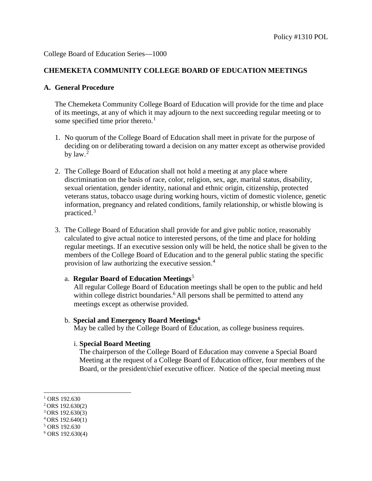### **CHEMEKETA COMMUNITY COLLEGE BOARD OF EDUCATION MEETINGS**

#### **A. General Procedure**

The Chemeketa Community College Board of Education will provide for the time and place of its meetings, at any of which it may adjourn to the next succeeding regular meeting or to some specified time prior thereto.<sup>[1](#page-0-0)</sup>

- 1. No quorum of the College Board of Education shall meet in private for the purpose of deciding on or deliberating toward a decision on any matter except as otherwise provided by law. [2](#page-0-1)
- 2. The College Board of Education shall not hold a meeting at any place where discrimination on the basis of race, color, religion, sex, age, marital status, disability, sexual orientation, gender identity, national and ethnic origin, citizenship, protected veterans status, tobacco usage during working hours, victim of domestic violence, genetic information, pregnancy and related conditions, family relationship, or whistle blowing is practiced.[3](#page-0-2)
- 3. The College Board of Education shall provide for and give public notice, reasonably calculated to give actual notice to interested persons, of the time and place for holding regular meetings. If an executive session only will be held, the notice shall be given to the members of the College Board of Education and to the general public stating the specific provision of law authorizing the executive session.[4](#page-0-3)

#### a. **Regular Board of Education Meetings**[5](#page-0-4)

All regular College Board of Education meetings shall be open to the public and held within college district boundaries.<sup>6</sup> All persons shall be permitted to attend any meetings except as otherwise provided.

#### b. **Special and Emergency Board Meetings[6](#page-0-5)**

May be called by the College Board of Education, as college business requires.

## i. **Special Board Meeting**

The chairperson of the College Board of Education may convene a Special Board Meeting at the request of a College Board of Education officer, four members of the Board, or the president/chief executive officer. Notice of the special meeting must

j

<span id="page-0-0"></span> $1$  ORS 192.630

<span id="page-0-1"></span><sup>2</sup> ORS 192.630(2)

<span id="page-0-2"></span> $3$  ORS 192.630(3)

<span id="page-0-3"></span> $4$  ORS 192.640(1)

<span id="page-0-4"></span><sup>5</sup> ORS 192.630

<span id="page-0-5"></span> $6$  ORS 192.630(4)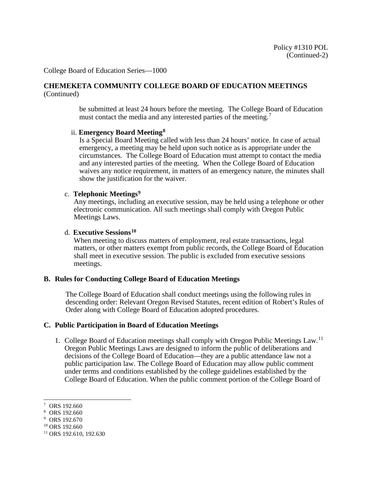#### **CHEMEKETA COMMUNITY COLLEGE BOARD OF EDUCATION MEETINGS** (Continued)

be submitted at least 24 hours before the meeting. The College Board of Education must contact the media and any interested parties of the meeting.<sup>[7](#page-1-0)</sup>

#### ii. **Emergency Board Meeting[8](#page-1-1)**

Is a Special Board Meeting called with less than 24 hours' notice. In case of actual emergency, a meeting may be held upon such notice as is appropriate under the circumstances. The College Board of Education must attempt to contact the media and any interested parties of the meeting. When the College Board of Education waives any notice requirement, in matters of an emergency nature, the minutes shall show the justification for the waiver.

#### c. **Telephonic Meetings[9](#page-1-2)**

Any meetings, including an executive session, may be held using a telephone or other electronic communication. All such meetings shall comply with Oregon Public Meetings Laws.

## d. **Executive Sessions[10](#page-1-3)**

When meeting to discuss matters of employment, real estate transactions, legal matters, or other matters exempt from public records, the College Board of Education shall meet in executive session. The public is excluded from executive sessions meetings.

## **B. Rules for Conducting College Board of Education Meetings**

The College Board of Education shall conduct meetings using the following rules in descending order: Relevant Oregon Revised Statutes, recent edition of Robert's Rules of Order along with College Board of Education adopted procedures.

#### **C. Public Participation in Board of Education Meetings**

1. College Board of Education meetings shall comply with Oregon Public Meetings Law.[11](#page-1-4) Oregon Public Meetings Laws are designed to inform the public of deliberations and decisions of the College Board of Education—they are a public attendance law not a public participation law. The College Board of Education may allow public comment under terms and conditions established by the college guidelines established by the College Board of Education. When the public comment portion of the College Board of

-

<span id="page-1-0"></span><sup>7</sup> ORS 192.660

<span id="page-1-1"></span><sup>8</sup> ORS 192.660

<span id="page-1-2"></span> $9$  ORS 192.670<br><sup>10</sup> ORS 192.660

<span id="page-1-3"></span>

<span id="page-1-4"></span> $11$  ORS 192.610, 192.630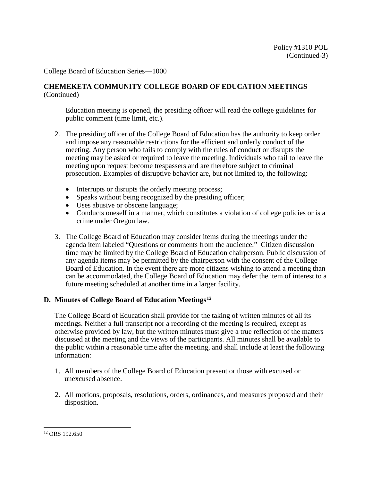## **CHEMEKETA COMMUNITY COLLEGE BOARD OF EDUCATION MEETINGS** (Continued)

Education meeting is opened, the presiding officer will read the college guidelines for public comment (time limit, etc.).

- 2. The presiding officer of the College Board of Education has the authority to keep order and impose any reasonable restrictions for the efficient and orderly conduct of the meeting. Any person who fails to comply with the rules of conduct or disrupts the meeting may be asked or required to leave the meeting. Individuals who fail to leave the meeting upon request become trespassers and are therefore subject to criminal prosecution. Examples of disruptive behavior are, but not limited to, the following:
	- Interrupts or disrupts the orderly meeting process;
	- Speaks without being recognized by the presiding officer;
	- Uses abusive or obscene language;
	- Conducts oneself in a manner, which constitutes a violation of college policies or is a crime under Oregon law.
- 3. The College Board of Education may consider items during the meetings under the agenda item labeled "Questions or comments from the audience." Citizen discussion time may be limited by the College Board of Education chairperson. Public discussion of any agenda items may be permitted by the chairperson with the consent of the College Board of Education. In the event there are more citizens wishing to attend a meeting than can be accommodated, the College Board of Education may defer the item of interest to a future meeting scheduled at another time in a larger facility.

## **D. Minutes of College Board of Education Meetings[12](#page-2-0)**

The College Board of Education shall provide for the taking of written minutes of all its meetings. Neither a full transcript nor a recording of the meeting is required, except as otherwise provided by law, but the written minutes must give a true reflection of the matters discussed at the meeting and the views of the participants. All minutes shall be available to the public within a reasonable time after the meeting, and shall include at least the following information:

- 1. All members of the College Board of Education present or those with excused or unexcused absence.
- 2. All motions, proposals, resolutions, orders, ordinances, and measures proposed and their disposition.

<span id="page-2-0"></span>j <sup>12</sup> ORS 192.650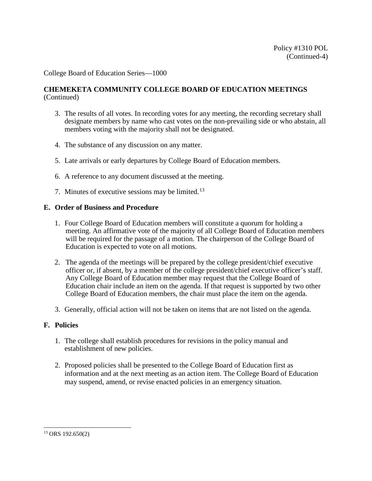## **CHEMEKETA COMMUNITY COLLEGE BOARD OF EDUCATION MEETINGS** (Continued)

- 3. The results of all votes. In recording votes for any meeting, the recording secretary shall designate members by name who cast votes on the non-prevailing side or who abstain, all members voting with the majority shall not be designated.
- 4. The substance of any discussion on any matter.
- 5. Late arrivals or early departures by College Board of Education members.
- 6. A reference to any document discussed at the meeting.
- 7. Minutes of executive sessions may be limited.<sup>[13](#page-3-0)</sup>

# **E. Order of Business and Procedure**

- 1. Four College Board of Education members will constitute a quorum for holding a meeting. An affirmative vote of the majority of all College Board of Education members will be required for the passage of a motion. The chairperson of the College Board of Education is expected to vote on all motions.
- 2. The agenda of the meetings will be prepared by the college president/chief executive officer or, if absent, by a member of the college president/chief executive officer's staff. Any College Board of Education member may request that the College Board of Education chair include an item on the agenda. If that request is supported by two other College Board of Education members, the chair must place the item on the agenda.
- 3. Generally, official action will not be taken on items that are not listed on the agenda.

# **F. Policies**

- 1. The college shall establish procedures for revisions in the policy manual and establishment of new policies.
- 2. Proposed policies shall be presented to the College Board of Education first as information and at the next meeting as an action item. The College Board of Education may suspend, amend, or revise enacted policies in an emergency situation.

<span id="page-3-0"></span>j  $13$  ORS 192.650(2)